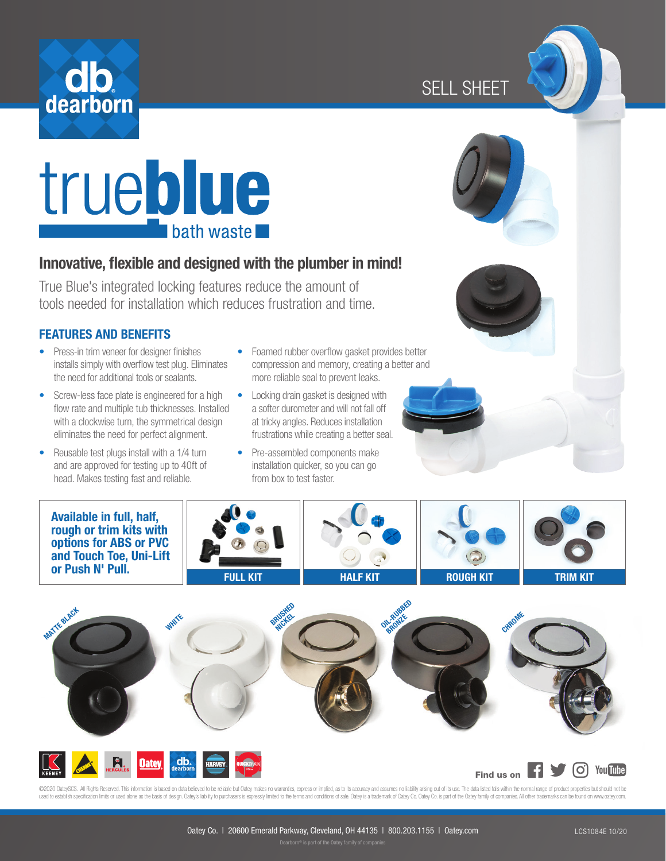





# Innovative, flexible and designed with the plumber in mind!

True Blue's integrated locking features reduce the amount of tools needed for installation which reduces frustration and time.

#### FEATURES AND BENEFITS

- Press-in trim veneer for designer finishes installs simply with overflow test plug. Eliminates the need for additional tools or sealants.
- Screw-less face plate is engineered for a high flow rate and multiple tub thicknesses. Installed with a clockwise turn, the symmetrical design eliminates the need for perfect alignment.
- Reusable test plugs install with a 1/4 turn and are approved for testing up to 40ft of head. Makes testing fast and reliable.
- Foamed rubber overflow gasket provides better compression and memory, creating a better and more reliable seal to prevent leaks.
- Locking drain gasket is designed with a softer durometer and will not fall off at tricky angles. Reduces installation frustrations while creating a better seal.
- Pre-assembled components make installation quicker, so you can go from box to test faster.







 $\overline{O}$  You Tube Find us on **Fi** 

©2020 CateySCS. All Rights Reserved. This information is based on data believed to be reliable but Catey makes no waranties, express or implied, as to its accuracy and assumes no liability and to fils use. The data listed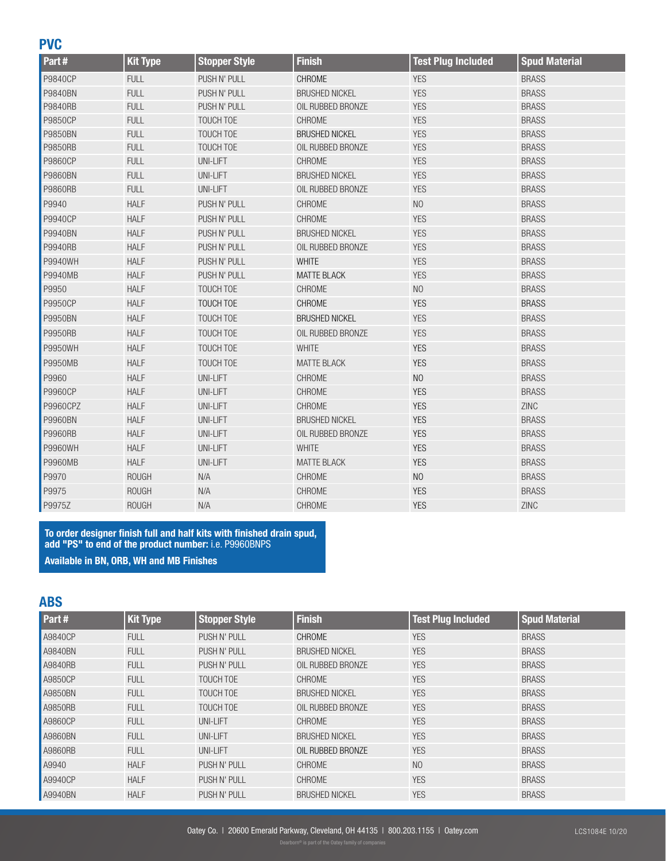#### **PVC**

| Part#          | <b>Kit Type</b> | <b>Stopper Style</b> | <b>Finish</b>         | <b>Test Plug Included</b> | <b>Spud Material</b> |
|----------------|-----------------|----------------------|-----------------------|---------------------------|----------------------|
| P9840CP        | <b>FULL</b>     | PUSH N' PULL         | CHROME                | <b>YES</b>                | <b>BRASS</b>         |
| P9840BN        | <b>FULL</b>     | PUSH N' PULL         | <b>BRUSHED NICKEL</b> | <b>YES</b>                | <b>BRASS</b>         |
| P9840RB        | <b>FULL</b>     | PUSH N' PULL         | OIL RUBBED BRONZE     | <b>YES</b>                | <b>BRASS</b>         |
| <b>P9850CP</b> | <b>FULL</b>     | <b>TOUCH TOE</b>     | <b>CHROME</b>         | <b>YES</b>                | <b>BRASS</b>         |
| P9850BN        | <b>FULL</b>     | TOUCH TOE            | <b>BRUSHED NICKEL</b> | <b>YES</b>                | <b>BRASS</b>         |
| <b>P9850RB</b> | <b>FULL</b>     | <b>TOUCH TOE</b>     | OIL RUBBED BRONZE     | <b>YES</b>                | <b>BRASS</b>         |
| P9860CP        | <b>FULL</b>     | <b>UNI-LIFT</b>      | CHROME                | <b>YES</b>                | <b>BRASS</b>         |
| P9860BN        | <b>FULL</b>     | UNI-LIFT             | <b>BRUSHED NICKEL</b> | <b>YES</b>                | <b>BRASS</b>         |
| P9860RB        | <b>FULL</b>     | UNI-LIFT             | OIL RUBBED BRONZE     | <b>YES</b>                | <b>BRASS</b>         |
| P9940          | <b>HALF</b>     | PUSH N' PULL         | CHROME                | N <sub>O</sub>            | <b>BRASS</b>         |
| P9940CP        | <b>HALF</b>     | PUSH N' PULL         | CHROME                | <b>YES</b>                | <b>BRASS</b>         |
| P9940BN        | <b>HALF</b>     | PUSH N' PULL         | <b>BRUSHED NICKEL</b> | <b>YES</b>                | <b>BRASS</b>         |
| P9940RB        | <b>HALF</b>     | PUSH N' PULL         | OIL RUBBED BRONZE     | <b>YES</b>                | <b>BRASS</b>         |
| P9940WH        | <b>HALF</b>     | PUSH N' PULL         | <b>WHITE</b>          | <b>YES</b>                | <b>BRASS</b>         |
| P9940MB        | <b>HALF</b>     | PUSH N' PULL         | <b>MATTE BLACK</b>    | <b>YES</b>                | <b>BRASS</b>         |
| P9950          | <b>HALF</b>     | TOUCH TOE            | CHROME                | N <sub>O</sub>            | <b>BRASS</b>         |
| P9950CP        | <b>HALF</b>     | TOUCH TOE            | CHROME                | <b>YES</b>                | <b>BRASS</b>         |
| P9950BN        | <b>HALF</b>     | TOUCH TOE            | <b>BRUSHED NICKEL</b> | <b>YES</b>                | <b>BRASS</b>         |
| P9950RB        | <b>HALF</b>     | TOUCH TOE            | OIL RUBBED BRONZE     | <b>YES</b>                | <b>BRASS</b>         |
| P9950WH        | <b>HALF</b>     | <b>TOUCH TOE</b>     | <b>WHITE</b>          | <b>YES</b>                | <b>BRASS</b>         |
| P9950MB        | <b>HALF</b>     | TOUCH TOE            | <b>MATTE BLACK</b>    | <b>YES</b>                | <b>BRASS</b>         |
| P9960          | <b>HALF</b>     | UNI-LIFT             | CHROME                | N <sub>O</sub>            | <b>BRASS</b>         |
| P9960CP        | <b>HALF</b>     | UNI-LIFT             | CHROME                | <b>YES</b>                | <b>BRASS</b>         |
| P9960CPZ       | <b>HALF</b>     | UNI-LIFT             | CHROME                | <b>YES</b>                | ZINC                 |
| P9960BN        | <b>HALF</b>     | UNI-LIFT             | <b>BRUSHED NICKEL</b> | <b>YES</b>                | <b>BRASS</b>         |
| P9960RB        | <b>HALF</b>     | <b>UNI-LIFT</b>      | OIL RUBBED BRONZE     | <b>YES</b>                | <b>BRASS</b>         |
| P9960WH        | <b>HALF</b>     | <b>UNI-LIFT</b>      | <b>WHITE</b>          | <b>YES</b>                | <b>BRASS</b>         |
| P9960MB        | <b>HALF</b>     | UNI-LIFT             | <b>MATTE BLACK</b>    | <b>YES</b>                | <b>BRASS</b>         |
| P9970          | <b>ROUGH</b>    | N/A                  | CHROME                | N <sub>O</sub>            | <b>BRASS</b>         |
| P9975          | <b>ROUGH</b>    | N/A                  | CHROME                | <b>YES</b>                | <b>BRASS</b>         |
| P9975Z         | <b>ROUGH</b>    | N/A                  | CHROME                | <b>YES</b>                | ZINC                 |

To order designer finish full and half kits with finished drain spud, add "PS" to end of the product number: i.e. P9960BNPS Available in BN, ORB, WH and MB Finishes

# ABS

| Part#          | <b>Kit Type</b> | <b>Stopper Style</b> | <b>Finish</b>         | <b>Test Plug Included</b> | <b>Spud Material</b> |
|----------------|-----------------|----------------------|-----------------------|---------------------------|----------------------|
| A9840CP        | <b>FULL</b>     | PUSH N' PULL         | <b>CHROME</b>         | <b>YES</b>                | <b>BRASS</b>         |
| <b>A9840BN</b> | <b>FULL</b>     | PUSH N' PULL         | <b>BRUSHED NICKEL</b> | <b>YES</b>                | <b>BRASS</b>         |
| A9840RB        | <b>FULL</b>     | PUSH N' PULL         | OIL RUBBED BRONZE     | <b>YES</b>                | <b>BRASS</b>         |
| A9850CP        | <b>FULL</b>     | <b>TOUCH TOE</b>     | CHROME                | <b>YES</b>                | <b>BRASS</b>         |
| <b>A9850BN</b> | <b>FULL</b>     | <b>TOUCH TOE</b>     | <b>BRUSHED NICKEL</b> | <b>YES</b>                | <b>BRASS</b>         |
| A9850RB        | <b>FULL</b>     | TOUCH TOE            | OIL RUBBED BRONZE     | <b>YES</b>                | <b>BRASS</b>         |
| A9860CP        | <b>FULL</b>     | UNI-LIFT             | <b>CHROME</b>         | <b>YES</b>                | <b>BRASS</b>         |
| <b>A9860BN</b> | <b>FULL</b>     | UNI-LIFT             | <b>BRUSHED NICKEL</b> | <b>YES</b>                | <b>BRASS</b>         |
| <b>A9860RB</b> | <b>FULL</b>     | UNI-LIFT             | OIL RUBBED BRONZE     | <b>YES</b>                | <b>BRASS</b>         |
| A9940          | <b>HALF</b>     | PUSH N' PULL         | CHROME                | N <sub>0</sub>            | <b>BRASS</b>         |
| A9940CP        | <b>HALF</b>     | PUSH N' PULL         | CHROME                | <b>YES</b>                | <b>BRASS</b>         |
| A9940BN        | <b>HALF</b>     | PUSH N' PULL         | <b>BRUSHED NICKEL</b> | <b>YES</b>                | <b>BRASS</b>         |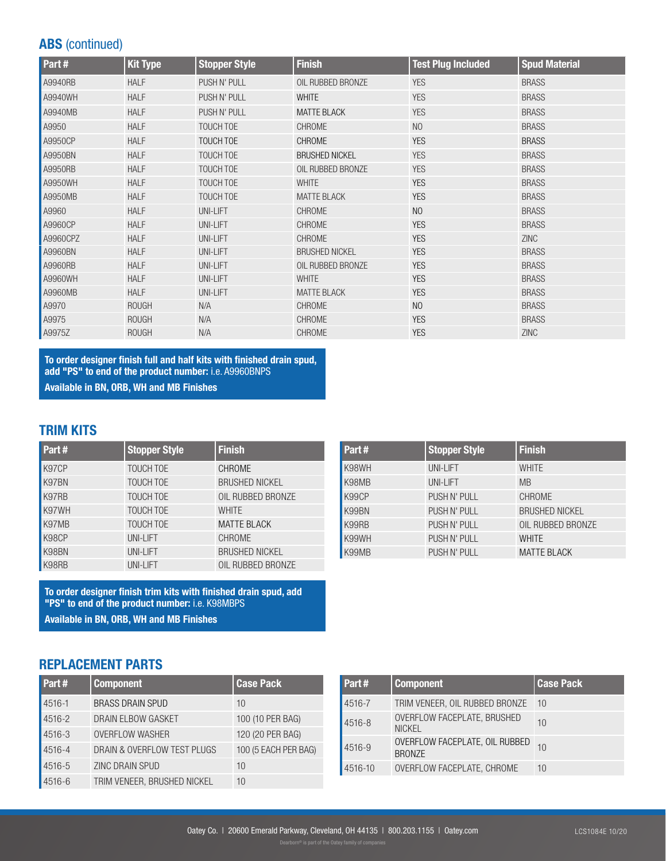# ABS (continued)

| Part#    | <b>Kit Type</b> | <b>Stopper Style</b> | <b>Finish</b>         | <b>Test Plug Included</b> | <b>Spud Material</b> |
|----------|-----------------|----------------------|-----------------------|---------------------------|----------------------|
| A9940RB  | <b>HALF</b>     | PUSH N' PULL         | OIL RUBBED BRONZE     | <b>YES</b>                | <b>BRASS</b>         |
| A9940WH  | <b>HALF</b>     | PUSH N' PULL         | <b>WHITE</b>          | <b>YES</b>                | <b>BRASS</b>         |
| A9940MB  | <b>HALF</b>     | PUSH N' PULL         | <b>MATTE BLACK</b>    | <b>YES</b>                | <b>BRASS</b>         |
| A9950    | <b>HALF</b>     | TOUCH TOE            | <b>CHROME</b>         | N <sub>O</sub>            | <b>BRASS</b>         |
| A9950CP  | <b>HALF</b>     | TOUCH TOE            | <b>CHROME</b>         | <b>YES</b>                | <b>BRASS</b>         |
| A9950BN  | <b>HALF</b>     | TOUCH TOE            | <b>BRUSHED NICKEL</b> | <b>YES</b>                | <b>BRASS</b>         |
| A9950RB  | <b>HALF</b>     | TOUCH TOE            | OIL RUBBED BRONZE     | <b>YES</b>                | <b>BRASS</b>         |
| A9950WH  | <b>HALF</b>     | TOUCH TOE            | <b>WHITE</b>          | <b>YES</b>                | <b>BRASS</b>         |
| A9950MB  | <b>HALF</b>     | TOUCH TOE            | <b>MATTE BLACK</b>    | <b>YES</b>                | <b>BRASS</b>         |
| A9960    | <b>HALF</b>     | UNI-LIFT             | CHROME                | N <sub>O</sub>            | <b>BRASS</b>         |
| A9960CP  | <b>HALF</b>     | UNI-LIFT             | <b>CHROME</b>         | <b>YES</b>                | <b>BRASS</b>         |
| A9960CPZ | <b>HALF</b>     | UNI-LIFT             | <b>CHROME</b>         | <b>YES</b>                | ZINC                 |
| A9960BN  | <b>HALF</b>     | UNI-LIFT             | <b>BRUSHED NICKEL</b> | <b>YES</b>                | <b>BRASS</b>         |
| A9960RB  | <b>HALF</b>     | UNI-LIFT             | OIL RUBBED BRONZE     | <b>YES</b>                | <b>BRASS</b>         |
| A9960WH  | <b>HALF</b>     | UNI-LIFT             | <b>WHITE</b>          | <b>YES</b>                | <b>BRASS</b>         |
| A9960MB  | <b>HALF</b>     | UNI-LIFT             | <b>MATTE BLACK</b>    | <b>YES</b>                | <b>BRASS</b>         |
| A9970    | <b>ROUGH</b>    | N/A                  | <b>CHROME</b>         | N <sub>O</sub>            | <b>BRASS</b>         |
| A9975    | <b>ROUGH</b>    | N/A                  | <b>CHROME</b>         | <b>YES</b>                | <b>BRASS</b>         |
| A9975Z   | <b>ROUGH</b>    | N/A                  | CHROME                | <b>YES</b>                | <b>ZINC</b>          |

To order designer finish full and half kits with finished drain spud, add "PS" to end of the product number: i.e. A9960BNPS Available in BN, ORB, WH and MB Finishes

#### TRIM KITS

| Part# | <b>Stopper Style</b> | <b>Finish</b>         |
|-------|----------------------|-----------------------|
| K97CP | TOUCH TOE            | <b>CHROME</b>         |
| K97BN | <b>TOUCH TOE</b>     | <b>BRUSHED NICKEL</b> |
| K97RB | TOUCH TOE            | OIL RUBBED BRONZE     |
| K97WH | <b>TOUCH TOE</b>     | <b>WHITE</b>          |
| K97MB | <b>TOUCH TOE</b>     | <b>MATTE BLACK</b>    |
| K98CP | <b>UNI-LIFT</b>      | <b>CHROME</b>         |
| K98BN | UNI-LIFT             | <b>BRUSHED NICKEL</b> |
| K98RB | <b>UNI-LIFT</b>      | OIL RUBBED BRONZE     |

To order designer finish trim kits with finished drain spud, add "PS" to end of the product number: i.e. K98MBPS Available in BN, ORB, WH and MB Finishes

#### Part # | Stopper Style | Finish K98WH UNI-LIFT WHITE K98MB UNI-LIFT MB K99CP PUSH N' PULL CHROME K99BN PUSH N' PULL BRUSHED NICKEL K99RB PUSH N' PULL OIL RUBBED BRONZE K99WH PUSH N' PULL WHITE K99MB PUSH N' PULL MATTE BLACK

# REPLACEMENT PARTS

| Part#  | <b>Component</b>            | <b>Case Pack</b>     |
|--------|-----------------------------|----------------------|
| 4516-1 | <b>BRASS DRAIN SPUD</b>     | 10                   |
| 4516-2 | DRAIN ELBOW GASKET          | 100 (10 PER BAG)     |
| 4516-3 | <b>OVERFLOW WASHER</b>      | 120 (20 PER BAG)     |
| 4516-4 | DRAIN & OVERFLOW TEST PLUGS | 100 (5 EACH PER BAG) |
| 4516-5 | <b>ZINC DRAIN SPUD</b>      | 10                   |
| 4516-6 | TRIM VENEER, BRUSHED NICKEL | 10                   |

| Part#   | <b>Component</b>                                | <b>Case Pack</b> |
|---------|-------------------------------------------------|------------------|
| 4516-7  | TRIM VENEER, OIL RUBBED BRONZE                  | $-10$            |
| 4516-8  | OVERFLOW FACEPLATE, BRUSHED<br><b>NICKEL</b>    | 10               |
| 4516-9  | OVERFLOW FACEPLATE, OIL RUBBED<br><b>BRONZE</b> | 10               |
| 4516-10 | OVERFLOW FACEPLATE, CHROME                      | 10               |